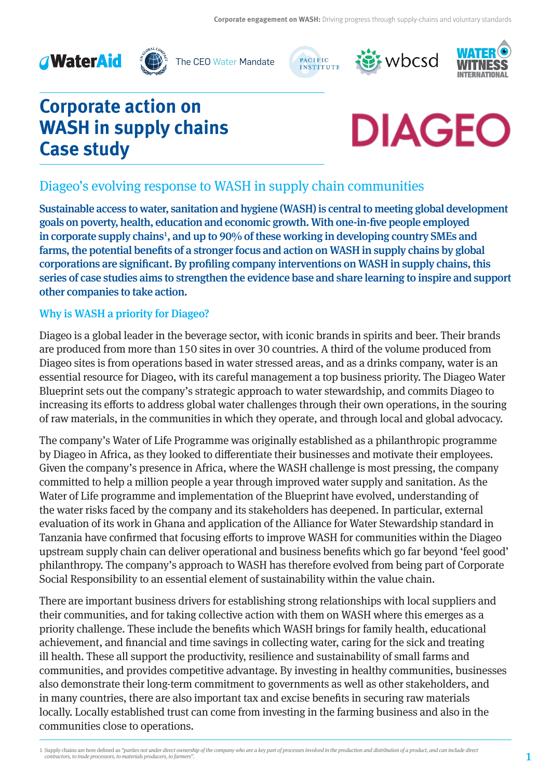



The CEO Water Mandate







# **Corporate action on WASH in supply chains Case study**



# Diageo's evolving response to WASH in supply chain communities

Sustainable access to water, sanitation and hygiene (WASH) is central to meeting global development goals on poverty, health, education and economic growth. With one-in-five people employed in corporate supply chains<sup>1</sup>, and up to 90% of these working in developing country SMEs and farms, the potential benefits of a stronger focus and action on WASH in supply chains by global corporations are significant. By profiling company interventions on WASH in supply chains, this series of case studies aims to strengthen the evidence base and share learning to inspire and support other companies to take action.

## Why is WASH a priority for Diageo?

Diageo is a global leader in the beverage sector, with iconic brands in spirits and beer. Their brands are produced from more than 150 sites in over 30 countries. A third of the volume produced from Diageo sites is from operations based in water stressed areas, and as a drinks company, water is an essential resource for Diageo, with its careful management a top business priority. The Diageo Water Blueprint sets out the company's strategic approach to water stewardship, and commits Diageo to increasing its efforts to address global water challenges through their own operations, in the souring of raw materials, in the communities in which they operate, and through local and global advocacy.

The company's Water of Life Programme was originally established as a philanthropic programme by Diageo in Africa, as they looked to differentiate their businesses and motivate their employees. Given the company's presence in Africa, where the WASH challenge is most pressing, the company committed to help a million people a year through improved water supply and sanitation. As the Water of Life programme and implementation of the Blueprint have evolved, understanding of the water risks faced by the company and its stakeholders has deepened. In particular, external evaluation of its work in Ghana and application of the Alliance for Water Stewardship standard in Tanzania have confirmed that focusing efforts to improve WASH for communities within the Diageo upstream supply chain can deliver operational and business benefits which go far beyond 'feel good' philanthropy. The company's approach to WASH has therefore evolved from being part of Corporate Social Responsibility to an essential element of sustainability within the value chain.

There are important business drivers for establishing strong relationships with local suppliers and their communities, and for taking collective action with them on WASH where this emerges as a priority challenge. These include the benefits which WASH brings for family health, educational achievement, and financial and time savings in collecting water, caring for the sick and treating ill health. These all support the productivity, resilience and sustainability of small farms and communities, and provides competitive advantage. By investing in healthy communities, businesses also demonstrate their long-term commitment to governments as well as other stakeholders, and in many countries, there are also important tax and excise benefits in securing raw materials locally. Locally established trust can come from investing in the farming business and also in the communities close to operations.

<sup>1</sup> Supply chains are here defined as "parties not under direct ownership of the company who are a key part of processes involved in the production and distribution of a product, and can include direct contractors, to trade processors, to materials producers, to farmers".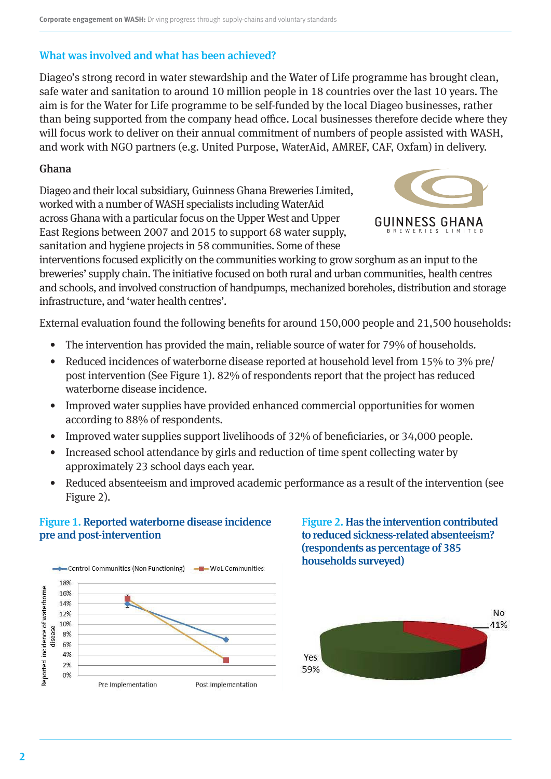## What was involved and what has been achieved?

Diageo's strong record in water stewardship and the Water of Life programme has brought clean, safe water and sanitation to around 10 million people in 18 countries over the last 10 years. The aim is for the Water for Life programme to be self-funded by the local Diageo businesses, rather than being supported from the company head office. Local businesses therefore decide where they will focus work to deliver on their annual commitment of numbers of people assisted with WASH, and work with NGO partners (e.g. United Purpose, WaterAid, AMREF, CAF, Oxfam) in delivery.

#### Ghana

Diageo and their local subsidiary, Guinness Ghana Breweries Limited, worked with a number of WASH specialists including WaterAid across Ghana with a particular focus on the Upper West and Upper East Regions between 2007 and 2015 to support 68 water supply, sanitation and hygiene projects in 58 communities. Some of these



interventions focused explicitly on the communities working to grow sorghum as an input to the breweries' supply chain. The initiative focused on both rural and urban communities, health centres and schools, and involved construction of handpumps, mechanized boreholes, distribution and storage infrastructure, and 'water health centres'.

External evaluation found the following benefits for around 150,000 people and 21,500 households:

- The intervention has provided the main, reliable source of water for 79% of households.
- Reduced incidences of waterborne disease reported at household level from 15% to 3% pre/ post intervention (See Figure 1). 82% of respondents report that the project has reduced waterborne disease incidence.
- Improved water supplies have provided enhanced commercial opportunities for women according to 88% of respondents.
- Improved water supplies support livelihoods of 32% of beneficiaries, or 34,000 people.
- Increased school attendance by girls and reduction of time spent collecting water by approximately 23 school days each year.
- Reduced absenteeism and improved academic performance as a result of the intervention (see Figure 2).

### Figure 1. Reported waterborne disease incidence pre and post-intervention



Figure 2. Has the intervention contributed to reduced sickness-related absenteeism? (respondents as percentage of 385 households surveyed)

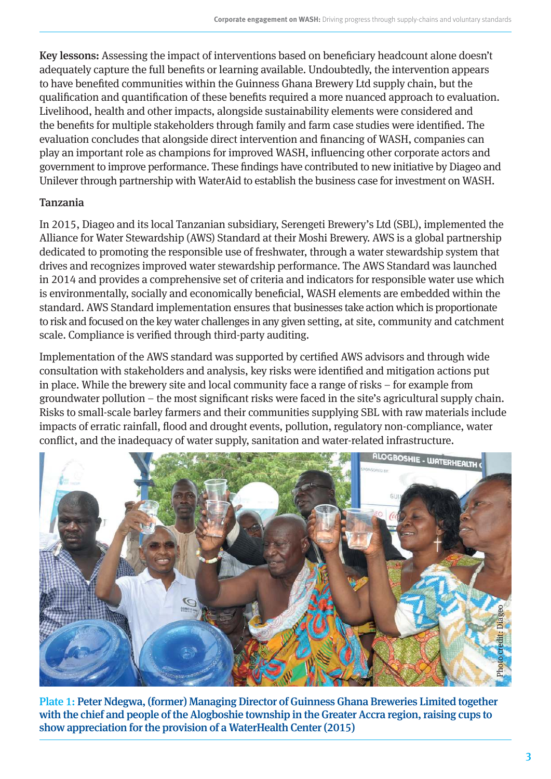Key lessons: Assessing the impact of interventions based on beneficiary headcount alone doesn't adequately capture the full benefits or learning available. Undoubtedly, the intervention appears to have benefited communities within the Guinness Ghana Brewery Ltd supply chain, but the qualification and quantification of these benefits required a more nuanced approach to evaluation. Livelihood, health and other impacts, alongside sustainability elements were considered and the benefits for multiple stakeholders through family and farm case studies were identified. The evaluation concludes that alongside direct intervention and financing of WASH, companies can play an important role as champions for improved WASH, influencing other corporate actors and government to improve performance. These findings have contributed to new initiative by Diageo and Unilever through partnership with WaterAid to establish the business case for investment on WASH.

# Tanzania

In 2015, Diageo and its local Tanzanian subsidiary, Serengeti Brewery's Ltd (SBL), implemented the Alliance for Water Stewardship (AWS) Standard at their Moshi Brewery. AWS is a global partnership dedicated to promoting the responsible use of freshwater, through a water stewardship system that drives and recognizes improved water stewardship performance. The AWS Standard was launched in 2014 and provides a comprehensive set of criteria and indicators for responsible water use which is environmentally, socially and economically beneficial, WASH elements are embedded within the standard. AWS Standard implementation ensures that businesses take action which is proportionate to risk and focused on the key water challenges in any given setting, at site, community and catchment scale. Compliance is verified through third-party auditing.

Implementation of the AWS standard was supported by certified AWS advisors and through wide consultation with stakeholders and analysis, key risks were identified and mitigation actions put in place. While the brewery site and local community face a range of risks – for example from groundwater pollution – the most significant risks were faced in the site's agricultural supply chain. Risks to small-scale barley farmers and their communities supplying SBL with raw materials include impacts of erratic rainfall, flood and drought events, pollution, regulatory non-compliance, water conflict, and the inadequacy of water supply, sanitation and water-related infrastructure.



Plate 1: Peter Ndegwa, (former) Managing Director of Guinness Ghana Breweries Limited together with the chief and people of the Alogboshie township in the Greater Accra region, raising cups to show appreciation for the provision of a WaterHealth Center (2015)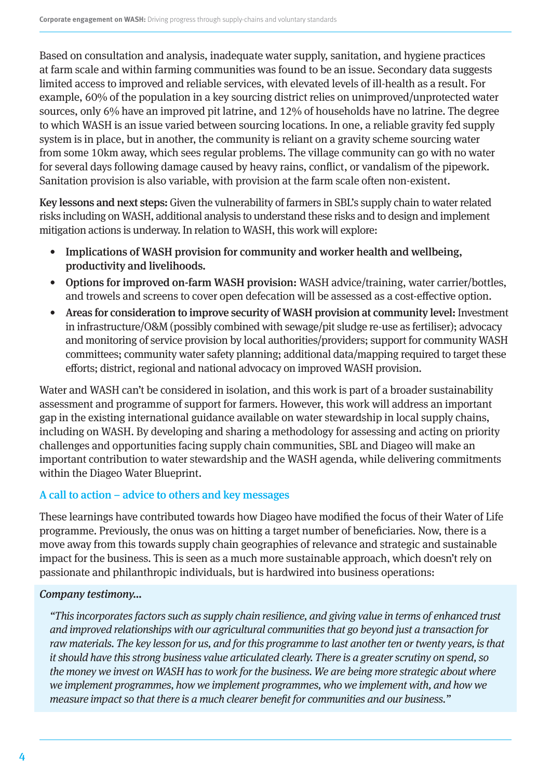Based on consultation and analysis, inadequate water supply, sanitation, and hygiene practices at farm scale and within farming communities was found to be an issue. Secondary data suggests limited access to improved and reliable services, with elevated levels of ill-health as a result. For example,  $60\%$  of the population in a key sourcing district relies on unimproved/unprotected water sources, only 6% have an improved pit latrine, and 12% of households have no latrine. The degree to which WASH is an issue varied between sourcing locations. In one, a reliable gravity fed supply system is in place, but in another, the community is reliant on a gravity scheme sourcing water from some 10km away, which sees regular problems. The village community can go with no water for several days following damage caused by heavy rains, conflict, or vandalism of the pipework. Sanitation provision is also variable, with provision at the farm scale often non-existent.

Key lessons and next steps: Given the vulnerability of farmers in SBL's supply chain to water related risks including on WASH, additional analysis to understand these risks and to design and implement mitigation actions is underway. In relation to WASH, this work will explore:

- Implications of WASH provision for community and worker health and wellbeing, productivity and livelihoods.
- Options for improved on-farm WASH provision: WASH advice/training, water carrier/bottles, and trowels and screens to cover open defecation will be assessed as a cost-effective option.
- Areas for consideration to improve security of WASH provision at community level: Investment in infrastructure/O&M (possibly combined with sewage/pit sludge re-use as fertiliser); advocacy and monitoring of service provision by local authorities/providers; support for community WASH committees; community water safety planning; additional data/mapping required to target these efforts; district, regional and national advocacy on improved WASH provision.

Water and WASH can't be considered in isolation, and this work is part of a broader sustainability assessment and programme of support for farmers. However, this work will address an important gap in the existing international guidance available on water stewardship in local supply chains, including on WASH. By developing and sharing a methodology for assessing and acting on priority challenges and opportunities facing supply chain communities, SBL and Diageo will make an important contribution to water stewardship and the WASH agenda, while delivering commitments within the Diageo Water Blueprint.

# A call to action – advice to others and key messages

These learnings have contributed towards how Diageo have modified the focus of their Water of Life programme. Previously, the onus was on hitting a target number of beneficiaries. Now, there is a move away from this towards supply chain geographies of relevance and strategic and sustainable impact for the business. This is seen as a much more sustainable approach, which doesn't rely on passionate and philanthropic individuals, but is hardwired into business operations:

# Company testimony…

"This incorporates factors such as supply chain resilience, and giving value in terms of enhanced trust and improved relationships with our agricultural communities that go beyond just a transaction for raw materials. The key lesson for us, and for this programme to last another ten or twenty years, is that it should have this strong business value articulated clearly. There is a greater scrutiny on spend, so the money we invest on WASH has to work for the business. We are being more strategic about where we implement programmes, how we implement programmes, who we implement with, and how we measure impact so that there is a much clearer benefit for communities and our business."